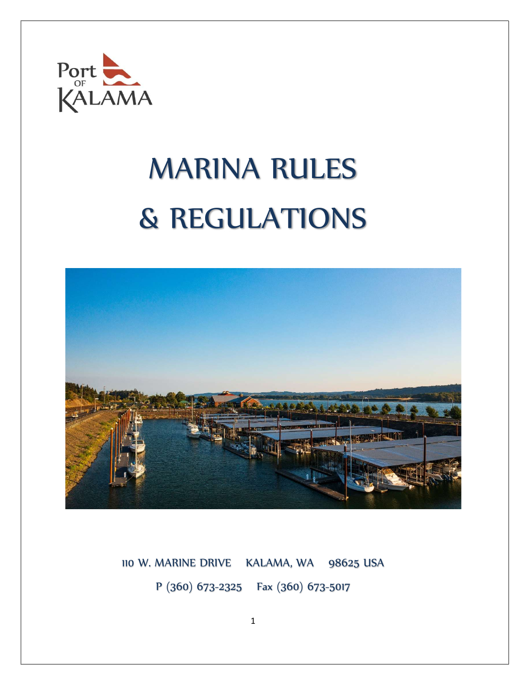

# MARINA RULES & REGULATIONS



110 W. MARINE DRIVE KALAMA, WA 98625 USA P (360) 673-2325 Fax (360) 673-5017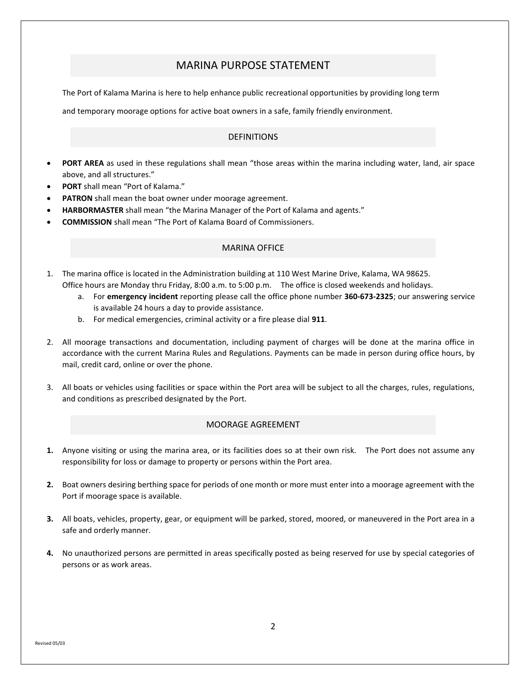# MARINA PURPOSE STATEMENT

The Port of Kalama Marina is here to help enhance public recreational opportunities by providing long term

and temporary moorage options for active boat owners in a safe, family friendly environment.

# DEFINITIONS

- PORT AREA as used in these regulations shall mean "those areas within the marina including water, land, air space above, and all structures."
- PORT shall mean "Port of Kalama."
- PATRON shall mean the boat owner under moorage agreement.
- HARBORMASTER shall mean "the Marina Manager of the Port of Kalama and agents."
- COMMISSION shall mean "The Port of Kalama Board of Commissioners.

# MARINA OFFICE

- 1. The marina office is located in the Administration building at 110 West Marine Drive, Kalama, WA 98625. Office hours are Monday thru Friday, 8:00 a.m. to 5:00 p.m. The office is closed weekends and holidays.
	- a. For emergency incident reporting please call the office phone number 360-673-2325; our answering service is available 24 hours a day to provide assistance.
	- b. For medical emergencies, criminal activity or a fire please dial 911.
- 2. All moorage transactions and documentation, including payment of charges will be done at the marina office in accordance with the current Marina Rules and Regulations. Payments can be made in person during office hours, by mail, credit card, online or over the phone.
- 3. All boats or vehicles using facilities or space within the Port area will be subject to all the charges, rules, regulations, and conditions as prescribed designated by the Port.

## MOORAGE AGREEMENT

- 1. Anyone visiting or using the marina area, or its facilities does so at their own risk. The Port does not assume any responsibility for loss or damage to property or persons within the Port area.
- 2. Boat owners desiring berthing space for periods of one month or more must enter into a moorage agreement with the Port if moorage space is available.
- 3. All boats, vehicles, property, gear, or equipment will be parked, stored, moored, or maneuvered in the Port area in a safe and orderly manner.
- 4. No unauthorized persons are permitted in areas specifically posted as being reserved for use by special categories of persons or as work areas.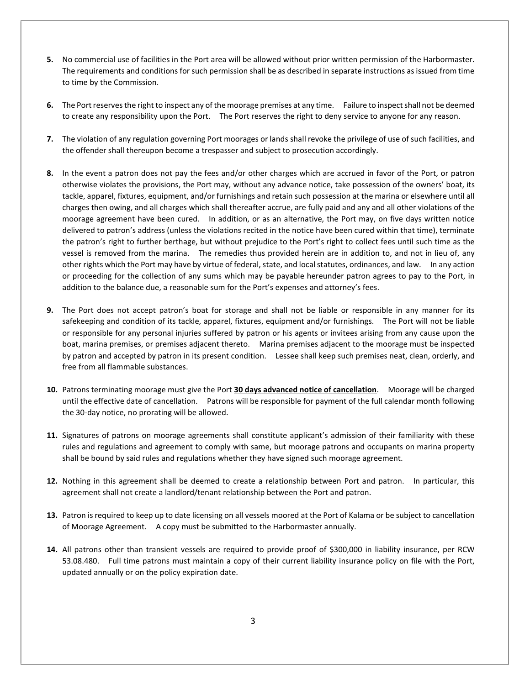- 5. No commercial use of facilities in the Port area will be allowed without prior written permission of the Harbormaster. The requirements and conditions for such permission shall be as described in separate instructions as issued from time to time by the Commission.
- 6. The Port reserves the right to inspect any of the moorage premises at any time. Failure to inspect shall not be deemed to create any responsibility upon the Port. The Port reserves the right to deny service to anyone for any reason.
- 7. The violation of any regulation governing Port moorages or lands shall revoke the privilege of use of such facilities, and the offender shall thereupon become a trespasser and subject to prosecution accordingly.
- 8. In the event a patron does not pay the fees and/or other charges which are accrued in favor of the Port, or patron otherwise violates the provisions, the Port may, without any advance notice, take possession of the owners' boat, its tackle, apparel, fixtures, equipment, and/or furnishings and retain such possession at the marina or elsewhere until all charges then owing, and all charges which shall thereafter accrue, are fully paid and any and all other violations of the moorage agreement have been cured. In addition, or as an alternative, the Port may, on five days written notice delivered to patron's address (unless the violations recited in the notice have been cured within that time), terminate the patron's right to further berthage, but without prejudice to the Port's right to collect fees until such time as the vessel is removed from the marina. The remedies thus provided herein are in addition to, and not in lieu of, any other rights which the Port may have by virtue of federal, state, and local statutes, ordinances, and law. In any action or proceeding for the collection of any sums which may be payable hereunder patron agrees to pay to the Port, in addition to the balance due, a reasonable sum for the Port's expenses and attorney's fees.
- 9. The Port does not accept patron's boat for storage and shall not be liable or responsible in any manner for its safekeeping and condition of its tackle, apparel, fixtures, equipment and/or furnishings. The Port will not be liable or responsible for any personal injuries suffered by patron or his agents or invitees arising from any cause upon the boat, marina premises, or premises adjacent thereto. Marina premises adjacent to the moorage must be inspected by patron and accepted by patron in its present condition. Lessee shall keep such premises neat, clean, orderly, and free from all flammable substances.
- 10. Patrons terminating moorage must give the Port 30 days advanced notice of cancellation. Moorage will be charged until the effective date of cancellation. Patrons will be responsible for payment of the full calendar month following the 30-day notice, no prorating will be allowed.
- 11. Signatures of patrons on moorage agreements shall constitute applicant's admission of their familiarity with these rules and regulations and agreement to comply with same, but moorage patrons and occupants on marina property shall be bound by said rules and regulations whether they have signed such moorage agreement.
- 12. Nothing in this agreement shall be deemed to create a relationship between Port and patron. In particular, this agreement shall not create a landlord/tenant relationship between the Port and patron.
- 13. Patron is required to keep up to date licensing on all vessels moored at the Port of Kalama or be subject to cancellation of Moorage Agreement. A copy must be submitted to the Harbormaster annually.
- 14. All patrons other than transient vessels are required to provide proof of \$300,000 in liability insurance, per RCW 53.08.480. Full time patrons must maintain a copy of their current liability insurance policy on file with the Port, updated annually or on the policy expiration date.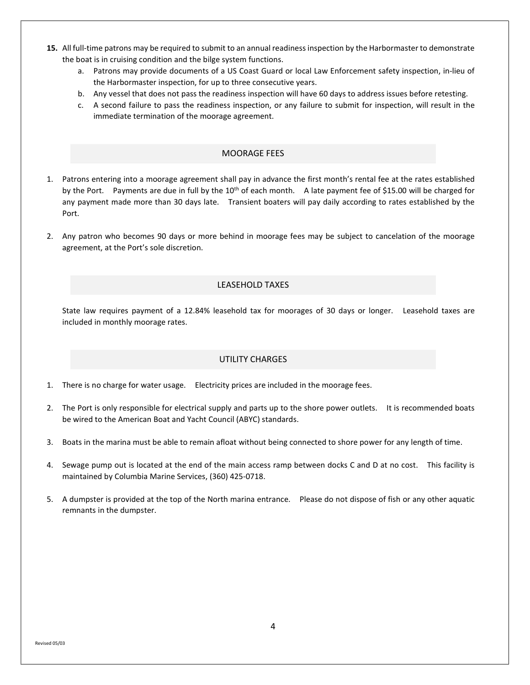- 15. All full-time patrons may be required to submit to an annual readiness inspection by the Harbormaster to demonstrate the boat is in cruising condition and the bilge system functions.
	- a. Patrons may provide documents of a US Coast Guard or local Law Enforcement safety inspection, in-lieu of the Harbormaster inspection, for up to three consecutive years.
	- b. Any vessel that does not pass the readiness inspection will have 60 days to address issues before retesting.
	- c. A second failure to pass the readiness inspection, or any failure to submit for inspection, will result in the immediate termination of the moorage agreement.

# MOORAGE FEES

- 1. Patrons entering into a moorage agreement shall pay in advance the first month's rental fee at the rates established by the Port. Payments are due in full by the 10<sup>th</sup> of each month. A late payment fee of \$15.00 will be charged for any payment made more than 30 days late. Transient boaters will pay daily according to rates established by the Port.
- 2. Any patron who becomes 90 days or more behind in moorage fees may be subject to cancelation of the moorage agreement, at the Port's sole discretion.

# LEASEHOLD TAXES

State law requires payment of a 12.84% leasehold tax for moorages of 30 days or longer. Leasehold taxes are included in monthly moorage rates.

#### UTILITY CHARGES

- 1. There is no charge for water usage. Electricity prices are included in the moorage fees.
- 2. The Port is only responsible for electrical supply and parts up to the shore power outlets. It is recommended boats be wired to the American Boat and Yacht Council (ABYC) standards.
- 3. Boats in the marina must be able to remain afloat without being connected to shore power for any length of time.
- 4. Sewage pump out is located at the end of the main access ramp between docks C and D at no cost. This facility is maintained by Columbia Marine Services, (360) 425-0718.
- 5. A dumpster is provided at the top of the North marina entrance. Please do not dispose of fish or any other aquatic remnants in the dumpster.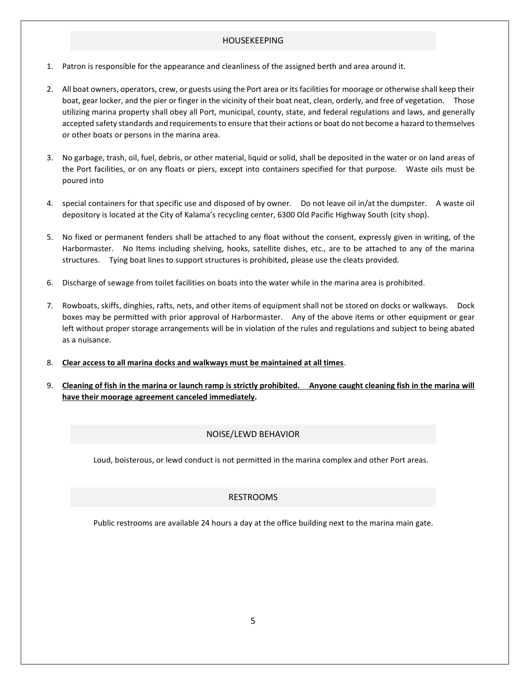# HOUSEKEEPING

- 1. Patron is responsible for the appearance and cleanliness of the assigned berth and area around it.
- 2. All boat owners, operators, crew, or guests using the Port area or its facilities for moorage or otherwise shall keep their boat, gear locker, and the pier or finger in the vicinity of their boat neat, clean, orderly, and free of vegetation. Those utilizing marina property shall obey all Port, municipal, county, state, and federal regulations and laws, and generally accepted safety standards and requirements to ensure that their actions or boat do not become a hazard to themselves or other boats or persons in the marina area.
- 3. No garbage, trash, oil, fuel, debris, or other material, liquid or solid, shall be deposited in the water or on land areas of the Port facilities, or on any floats or piers, except into containers specified for that purpose. Waste oils must be poured into
- 4. special containers for that specific use and disposed of by owner. Do not leave oil in/at the dumpster. A waste oil depository is located at the City of Kalama's recycling center, 6300 Old Pacific Highway South (city shop).
- 5. No fixed or permanent fenders shall be attached to any float without the consent, expressly given in writing, of the Harbormaster. No Items including shelving, hooks, satellite dishes, etc., are to be attached to any of the marina structures. Tying boat lines to support structures is prohibited, please use the cleats provided.
- 6. Discharge of sewage from toilet facilities on boats into the water while in the marina area is prohibited.
- 7. Rowboats, skiffs, dinghies, rafts, nets, and other items of equipment shall not be stored on docks or walkways. Dock boxes may be permitted with prior approval of Harbormaster. Any of the above items or other equipment or gear left without proper storage arrangements will be in violation of the rules and regulations and subject to being abated as a nuisance.
- 8. Clear access to all marina docks and walkways must be maintained at all times.
- 9. Cleaning of fish in the marina or launch ramp is strictly prohibited. Anyone caught cleaning fish in the marina will have their moorage agreement canceled immediately.

# NOISE/LEWD BEHAVIOR

Loud, boisterous, or lewd conduct is not permitted in the marina complex and other Port areas.

# RESTROOMS

Public restrooms are available 24 hours a day at the office building next to the marina main gate.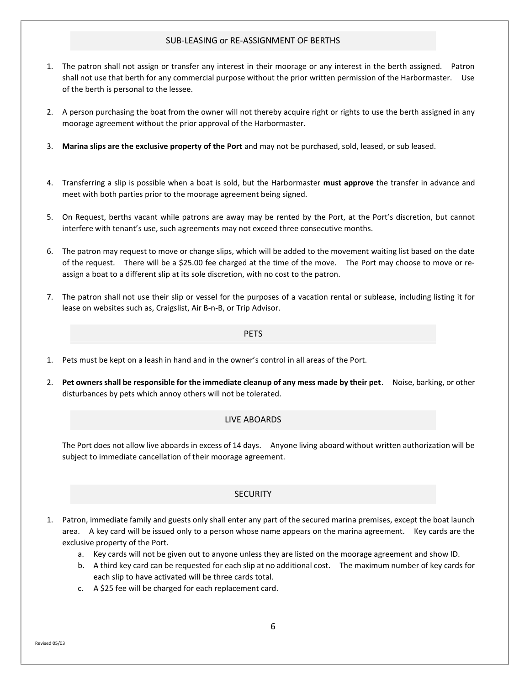### SUB-LEASING or RE-ASSIGNMENT OF BERTHS

- 1. The patron shall not assign or transfer any interest in their moorage or any interest in the berth assigned. Patron shall not use that berth for any commercial purpose without the prior written permission of the Harbormaster. Use of the berth is personal to the lessee.
- 2. A person purchasing the boat from the owner will not thereby acquire right or rights to use the berth assigned in any moorage agreement without the prior approval of the Harbormaster.
- 3. Marina slips are the exclusive property of the Port and may not be purchased, sold, leased, or sub leased.
- 4. Transferring a slip is possible when a boat is sold, but the Harbormaster must approve the transfer in advance and meet with both parties prior to the moorage agreement being signed.
- 5. On Request, berths vacant while patrons are away may be rented by the Port, at the Port's discretion, but cannot interfere with tenant's use, such agreements may not exceed three consecutive months.
- 6. The patron may request to move or change slips, which will be added to the movement waiting list based on the date of the request. There will be a \$25.00 fee charged at the time of the move. The Port may choose to move or reassign a boat to a different slip at its sole discretion, with no cost to the patron.
- 7. The patron shall not use their slip or vessel for the purposes of a vacation rental or sublease, including listing it for lease on websites such as, Craigslist, Air B-n-B, or Trip Advisor.

PETS

- 1. Pets must be kept on a leash in hand and in the owner's control in all areas of the Port.
- 2. Pet owners shall be responsible for the immediate cleanup of any mess made by their pet. Noise, barking, or other disturbances by pets which annoy others will not be tolerated.

#### LIVE ABOARDS

The Port does not allow live aboards in excess of 14 days. Anyone living aboard without written authorization will be subject to immediate cancellation of their moorage agreement.

# **SECURITY**

- Patron, immediate family and guests only shall enter any part of the secured marina premises, except the boat launch area. A key card will be issued only to a person whose name appears on the marina agreement. Key cards are the exclusive property of the Port.
	- a. Key cards will not be given out to anyone unless they are listed on the moorage agreement and show ID.
	- b. A third key card can be requested for each slip at no additional cost. The maximum number of key cards for each slip to have activated will be three cards total.
	- c. A \$25 fee will be charged for each replacement card.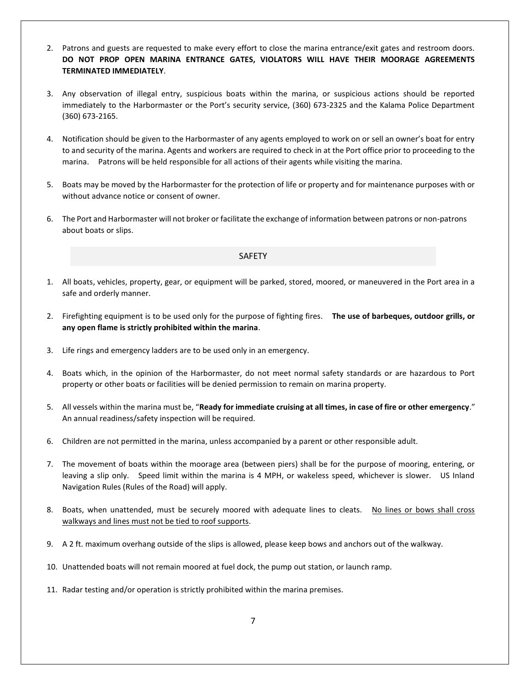- 2. Patrons and guests are requested to make every effort to close the marina entrance/exit gates and restroom doors. DO NOT PROP OPEN MARINA ENTRANCE GATES, VIOLATORS WILL HAVE THEIR MOORAGE AGREEMENTS TERMINATED IMMEDIATELY.
- 3. Any observation of illegal entry, suspicious boats within the marina, or suspicious actions should be reported immediately to the Harbormaster or the Port's security service, (360) 673-2325 and the Kalama Police Department (360) 673-2165.
- 4. Notification should be given to the Harbormaster of any agents employed to work on or sell an owner's boat for entry to and security of the marina. Agents and workers are required to check in at the Port office prior to proceeding to the marina. Patrons will be held responsible for all actions of their agents while visiting the marina.
- 5. Boats may be moved by the Harbormaster for the protection of life or property and for maintenance purposes with or without advance notice or consent of owner.
- 6. The Port and Harbormaster will not broker or facilitate the exchange of information between patrons or non-patrons about boats or slips.

## SAFETY

- 1. All boats, vehicles, property, gear, or equipment will be parked, stored, moored, or maneuvered in the Port area in a safe and orderly manner.
- 2. Firefighting equipment is to be used only for the purpose of fighting fires. The use of barbeques, outdoor grills, or any open flame is strictly prohibited within the marina.
- 3. Life rings and emergency ladders are to be used only in an emergency.
- 4. Boats which, in the opinion of the Harbormaster, do not meet normal safety standards or are hazardous to Port property or other boats or facilities will be denied permission to remain on marina property.
- 5. All vessels within the marina must be, "Ready for immediate cruising at all times, in case of fire or other emergency." An annual readiness/safety inspection will be required.
- 6. Children are not permitted in the marina, unless accompanied by a parent or other responsible adult.
- 7. The movement of boats within the moorage area (between piers) shall be for the purpose of mooring, entering, or leaving a slip only. Speed limit within the marina is 4 MPH, or wakeless speed, whichever is slower. US Inland Navigation Rules (Rules of the Road) will apply.
- 8. Boats, when unattended, must be securely moored with adequate lines to cleats. No lines or bows shall cross walkways and lines must not be tied to roof supports.
- 9. A 2 ft. maximum overhang outside of the slips is allowed, please keep bows and anchors out of the walkway.
- 10. Unattended boats will not remain moored at fuel dock, the pump out station, or launch ramp.
- 11. Radar testing and/or operation is strictly prohibited within the marina premises.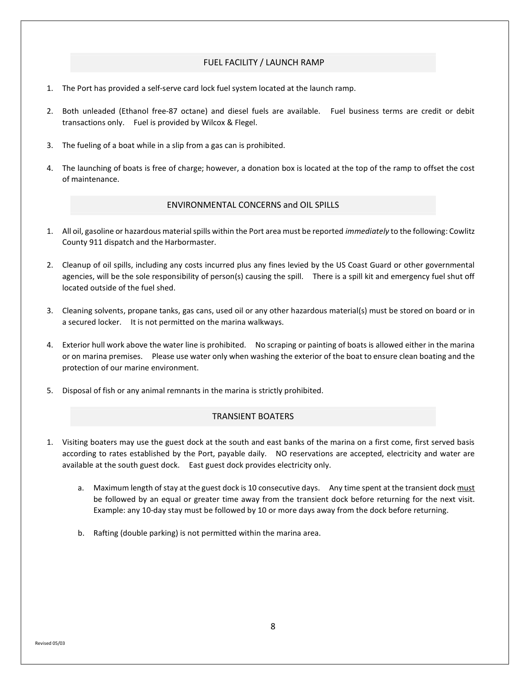# FUEL FACILITY / LAUNCH RAMP

- 1. The Port has provided a self-serve card lock fuel system located at the launch ramp.
- 2. Both unleaded (Ethanol free-87 octane) and diesel fuels are available. Fuel business terms are credit or debit transactions only. Fuel is provided by Wilcox & Flegel.
- 3. The fueling of a boat while in a slip from a gas can is prohibited.
- 4. The launching of boats is free of charge; however, a donation box is located at the top of the ramp to offset the cost of maintenance.

# ENVIRONMENTAL CONCERNS and OIL SPILLS

- 1. All oil, gasoline or hazardous material spills within the Port area must be reported *immediately* to the following: Cowlitz County 911 dispatch and the Harbormaster.
- 2. Cleanup of oil spills, including any costs incurred plus any fines levied by the US Coast Guard or other governmental agencies, will be the sole responsibility of person(s) causing the spill. There is a spill kit and emergency fuel shut off located outside of the fuel shed.
- 3. Cleaning solvents, propane tanks, gas cans, used oil or any other hazardous material(s) must be stored on board or in a secured locker. It is not permitted on the marina walkways.
- 4. Exterior hull work above the water line is prohibited. No scraping or painting of boats is allowed either in the marina or on marina premises. Please use water only when washing the exterior of the boat to ensure clean boating and the protection of our marine environment.
- 5. Disposal of fish or any animal remnants in the marina is strictly prohibited.

# TRANSIENT BOATERS

- 1. Visiting boaters may use the guest dock at the south and east banks of the marina on a first come, first served basis according to rates established by the Port, payable daily. NO reservations are accepted, electricity and water are available at the south guest dock. East guest dock provides electricity only.
	- a. Maximum length of stay at the guest dock is 10 consecutive days. Any time spent at the transient dock must be followed by an equal or greater time away from the transient dock before returning for the next visit. Example: any 10-day stay must be followed by 10 or more days away from the dock before returning.
	- b. Rafting (double parking) is not permitted within the marina area.